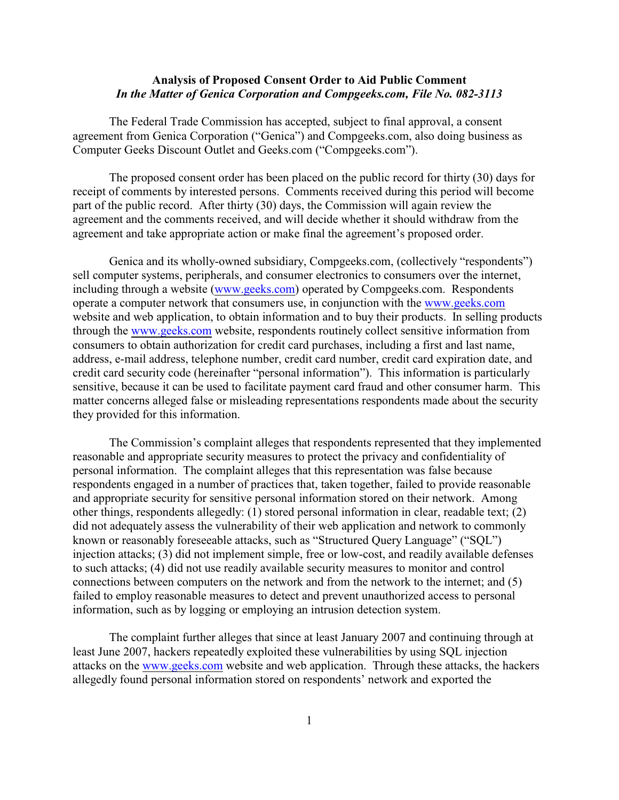## **Analysis of Proposed Consent Order to Aid Public Comment** *In the Matter of Genica Corporation and Compgeeks.com, File No. 082-3113*

The Federal Trade Commission has accepted, subject to final approval, a consent agreement from Genica Corporation ("Genica") and Compgeeks.com, also doing business as Computer Geeks Discount Outlet and Geeks.com ("Compgeeks.com").

The proposed consent order has been placed on the public record for thirty (30) days for receipt of comments by interested persons. Comments received during this period will become part of the public record. After thirty (30) days, the Commission will again review the agreement and the comments received, and will decide whether it should withdraw from the agreement and take appropriate action or make final the agreement's proposed order.

Genica and its wholly-owned subsidiary, Compgeeks.com, (collectively "respondents") sell computer systems, peripherals, and consumer electronics to consumers over the internet, including through a website [\(www.geeks.com](http://www.geeks.com))) operated by Compgeeks.com. Respondents operate a computer network that consumers use, in conjunction with the [www.geeks.com](http://www.geeks.com) website and web application, to obtain information and to buy their products. In selling products through the [www.geeks.com](http://www.geeks.com) website, respondents routinely collect sensitive information from consumers to obtain authorization for credit card purchases, including a first and last name, address, e-mail address, telephone number, credit card number, credit card expiration date, and credit card security code (hereinafter "personal information"). This information is particularly sensitive, because it can be used to facilitate payment card fraud and other consumer harm. This matter concerns alleged false or misleading representations respondents made about the security they provided for this information.

The Commission's complaint alleges that respondents represented that they implemented reasonable and appropriate security measures to protect the privacy and confidentiality of personal information. The complaint alleges that this representation was false because respondents engaged in a number of practices that, taken together, failed to provide reasonable and appropriate security for sensitive personal information stored on their network. Among other things, respondents allegedly: (1) stored personal information in clear, readable text; (2) did not adequately assess the vulnerability of their web application and network to commonly known or reasonably foreseeable attacks, such as "Structured Query Language" ("SQL") injection attacks; (3) did not implement simple, free or low-cost, and readily available defenses to such attacks; (4) did not use readily available security measures to monitor and control connections between computers on the network and from the network to the internet; and (5) failed to employ reasonable measures to detect and prevent unauthorized access to personal information, such as by logging or employing an intrusion detection system.

The complaint further alleges that since at least January 2007 and continuing through at least June 2007, hackers repeatedly exploited these vulnerabilities by using SQL injection attacks on the [www.geeks.com](http://www.geeks.com) website and web application. Through these attacks, the hackers allegedly found personal information stored on respondents' network and exported the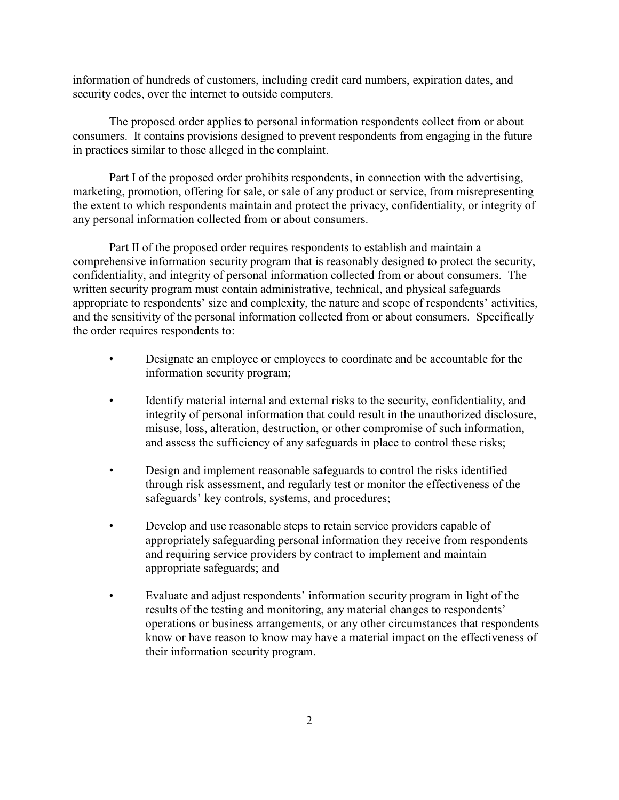information of hundreds of customers, including credit card numbers, expiration dates, and security codes, over the internet to outside computers.

The proposed order applies to personal information respondents collect from or about consumers. It contains provisions designed to prevent respondents from engaging in the future in practices similar to those alleged in the complaint.

Part I of the proposed order prohibits respondents, in connection with the advertising, marketing, promotion, offering for sale, or sale of any product or service, from misrepresenting the extent to which respondents maintain and protect the privacy, confidentiality, or integrity of any personal information collected from or about consumers.

Part II of the proposed order requires respondents to establish and maintain a comprehensive information security program that is reasonably designed to protect the security, confidentiality, and integrity of personal information collected from or about consumers. The written security program must contain administrative, technical, and physical safeguards appropriate to respondents' size and complexity, the nature and scope of respondents' activities, and the sensitivity of the personal information collected from or about consumers. Specifically the order requires respondents to:

- Designate an employee or employees to coordinate and be accountable for the information security program;
- Identify material internal and external risks to the security, confidentiality, and integrity of personal information that could result in the unauthorized disclosure, misuse, loss, alteration, destruction, or other compromise of such information, and assess the sufficiency of any safeguards in place to control these risks;
- Design and implement reasonable safeguards to control the risks identified through risk assessment, and regularly test or monitor the effectiveness of the safeguards' key controls, systems, and procedures;
- Develop and use reasonable steps to retain service providers capable of appropriately safeguarding personal information they receive from respondents and requiring service providers by contract to implement and maintain appropriate safeguards; and
- Evaluate and adjust respondents' information security program in light of the results of the testing and monitoring, any material changes to respondents' operations or business arrangements, or any other circumstances that respondents know or have reason to know may have a material impact on the effectiveness of their information security program.